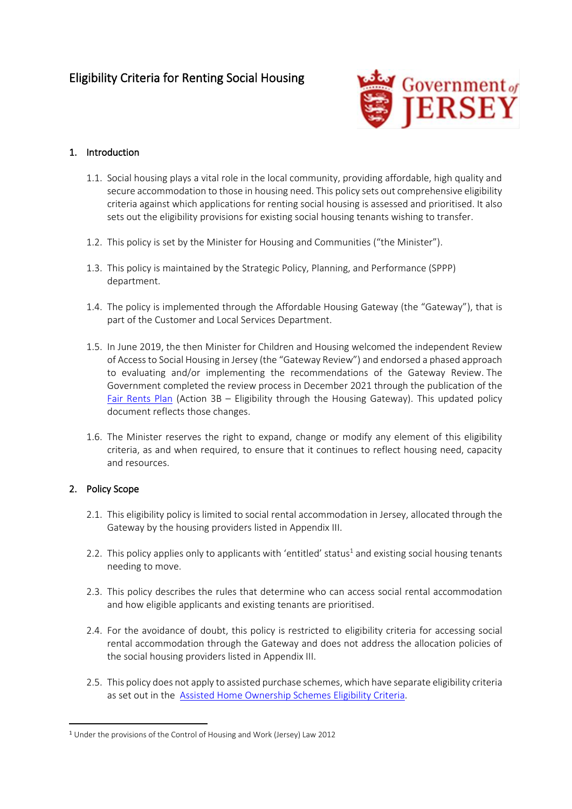

### 1. Introduction

- 1.1. Social housing plays a vital role in the local community, providing affordable, high quality and secure accommodation to those in housing need. This policy sets out comprehensive eligibility criteria against which applications for renting social housing is assessed and prioritised. It also sets out the eligibility provisions for existing social housing tenants wishing to transfer.
- 1.2. This policy is set by the Minister for Housing and Communities ("the Minister").
- 1.3. This policy is maintained by the Strategic Policy, Planning, and Performance (SPPP) department.
- 1.4. The policy is implemented through the Affordable Housing Gateway (the "Gateway"), that is part of the Customer and Local Services Department.
- 1.5. In June 2019, the then Minister for Children and Housing welcomed the independent Review of Access to Social Housing in Jersey (the "Gateway Review") and endorsed a phased approach to evaluating and/or implementing the recommendations of the Gateway Review. The Government completed the review process in December 2021 through the publication of the [Fair Rents Plan](https://www.gov.je/SiteCollectionDocuments/Planning%20and%20building/BP%20Fair%20Rents%20Plan.pdf) (Action 3B – Eligibility through the Housing Gateway). This updated policy document reflects those changes.
- 1.6. The Minister reserves the right to expand, change or modify any element of this eligibility criteria, as and when required, to ensure that it continues to reflect housing need, capacity and resources.

#### 2. Policy Scope

- 2.1. This eligibility policy is limited to social rental accommodation in Jersey, allocated through the Gateway by the housing providers listed in Appendix III.
- 2.2. This policy applies only to applicants with 'entitled' status<sup>1</sup> and existing social housing tenants needing to move.
- 2.3. This policy describes the rules that determine who can access social rental accommodation and how eligible applicants and existing tenants are prioritised.
- 2.4. For the avoidance of doubt, this policy is restricted to eligibility criteria for accessing social rental accommodation through the Gateway and does not address the allocation policies of the social housing providers listed in Appendix III.
- 2.5. This policy does not apply to assisted purchase schemes, which have separate eligibility criteria as set out in the [Assisted Home Ownership Schemes](https://www.gov.je/SiteCollectionDocuments/Home%20and%20community/ID%20Assisted%20Home%20Ownership%20Schemes%20Eligibility%20Criteria%20policy.pdf) Eligibility Criteria.

<sup>1</sup> Under the provisions of the Control of Housing and Work (Jersey) Law 2012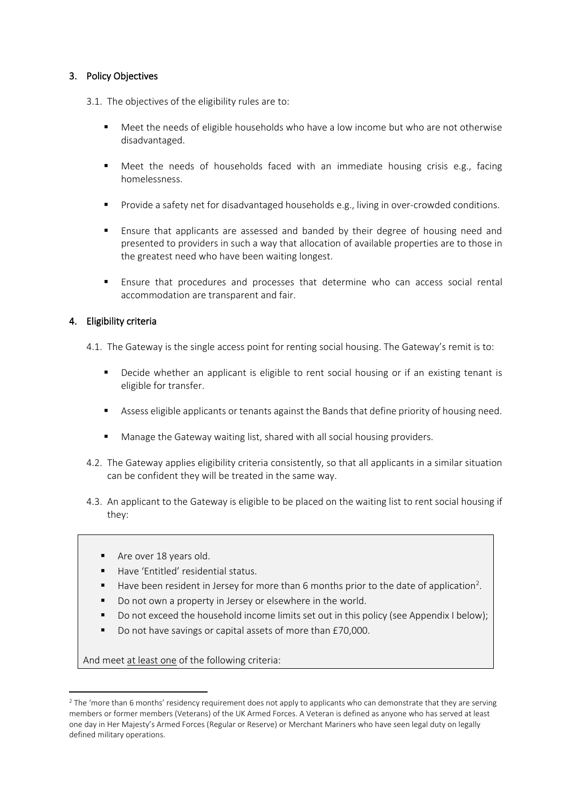#### 3. Policy Objectives

3.1. The objectives of the eligibility rules are to:

- Meet the needs of eligible households who have a low income but who are not otherwise disadvantaged.
- Meet the needs of households faced with an immediate housing crisis e.g., facing homelessness.
- Provide a safety net for disadvantaged households e.g., living in over-crowded conditions.
- Ensure that applicants are assessed and banded by their degree of housing need and presented to providers in such a way that allocation of available properties are to those in the greatest need who have been waiting longest.
- Ensure that procedures and processes that determine who can access social rental accommodation are transparent and fair.

#### 4. Eligibility criteria

- 4.1. The Gateway is the single access point for renting social housing. The Gateway's remit is to:
	- Decide whether an applicant is eligible to rent social housing or if an existing tenant is eligible for transfer.
	- Assess eligible applicants or tenants against the Bands that define priority of housing need.
	- Manage the Gateway waiting list, shared with all social housing providers.
- 4.2. The Gateway applies eligibility criteria consistently, so that all applicants in a similar situation can be confident they will be treated in the same way.
- 4.3. An applicant to the Gateway is eligible to be placed on the waiting list to rent social housing if they:
	- Are over 18 years old.
	- Have 'Entitled' residential status.
	- $\blacksquare$  Have been resident in Jersey for more than 6 months prior to the date of application<sup>2</sup>.
	- Do not own a property in Jersey or elsewhere in the world.
	- Do not exceed the household income limits set out in this policy (see Appendix I below);
	- Do not have savings or capital assets of more than £70,000.

And meet at least one of the following criteria:

<sup>&</sup>lt;sup>2</sup> The 'more than 6 months' residency requirement does not apply to applicants who can demonstrate that they are serving members or former members (Veterans) of the UK Armed Forces. A Veteran is defined as anyone who has served at least one day in Her Majesty's Armed Forces (Regular or Reserve) or Merchant Mariners who have seen legal duty on legally defined military operations.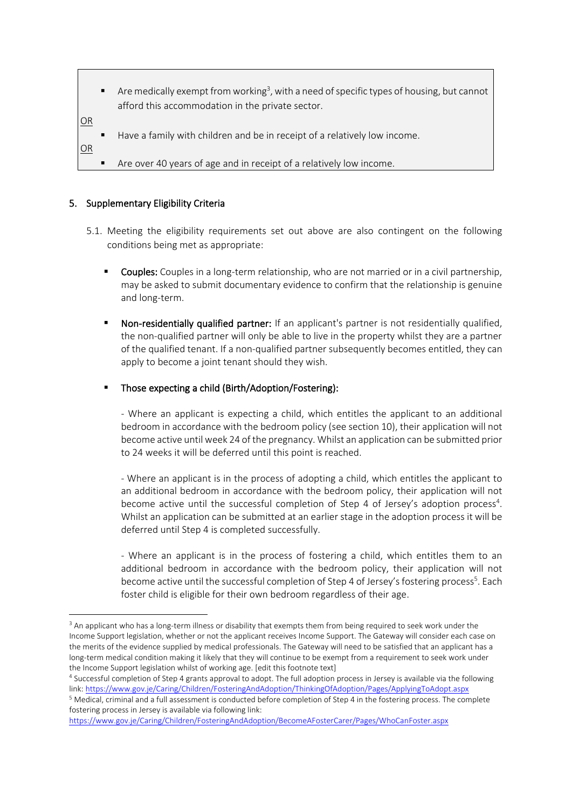$\blacksquare$  Are medically exempt from working<sup>3</sup>, with a need of specific types of housing, but cannot afford this accommodation in the private sector.

OR

OR

- Have a family with children and be in receipt of a relatively low income.
- Are over 40 years of age and in receipt of a relatively low income.

#### 5. Supplementary Eligibility Criteria

- 5.1. Meeting the eligibility requirements set out above are also contingent on the following conditions being met as appropriate:
	- **Couples:** Couples in a long-term relationship, who are not married or in a civil partnership, may be asked to submit documentary evidence to confirm that the relationship is genuine and long-term.
	- Non-residentially qualified partner: If an applicant's partner is not residentially qualified, the non-qualified partner will only be able to live in the property whilst they are a partner of the qualified tenant. If a non-qualified partner subsequently becomes entitled, they can apply to become a joint tenant should they wish.
	- Those expecting a child (Birth/Adoption/Fostering):

- Where an applicant is expecting a child, which entitles the applicant to an additional bedroom in accordance with the bedroom policy (see section 10), their application will not become active until week 24 of the pregnancy. Whilst an application can be submitted prior to 24 weeks it will be deferred until this point is reached.

- Where an applicant is in the process of adopting a child, which entitles the applicant to an additional bedroom in accordance with the bedroom policy, their application will not become active until the successful completion of Step 4 of Jersey's adoption process<sup>4</sup>. Whilst an application can be submitted at an earlier stage in the adoption process it will be deferred until Step 4 is completed successfully.

- Where an applicant is in the process of fostering a child, which entitles them to an additional bedroom in accordance with the bedroom policy, their application will not become active until the successful completion of Step 4 of Jersey's fostering process<sup>5</sup>. Each foster child is eligible for their own bedroom regardless of their age.

<sup>&</sup>lt;sup>3</sup> An applicant who has a long-term illness or disability that exempts them from being required to seek work under the Income Support legislation, whether or not the applicant receives Income Support. The Gateway will consider each case on the merits of the evidence supplied by medical professionals. The Gateway will need to be satisfied that an applicant has a long-term medical condition making it likely that they will continue to be exempt from a requirement to seek work under the Income Support legislation whilst of working age. [edit this footnote text]

<sup>4</sup> Successful completion of Step 4 grants approval to adopt. The full adoption process in Jersey is available via the following link:<https://www.gov.je/Caring/Children/FosteringAndAdoption/ThinkingOfAdoption/Pages/ApplyingToAdopt.aspx>

<sup>5</sup> Medical, criminal and a full assessment is conducted before completion of Step 4 in the fostering process. The complete fostering process in Jersey is available via following link:

<https://www.gov.je/Caring/Children/FosteringAndAdoption/BecomeAFosterCarer/Pages/WhoCanFoster.aspx>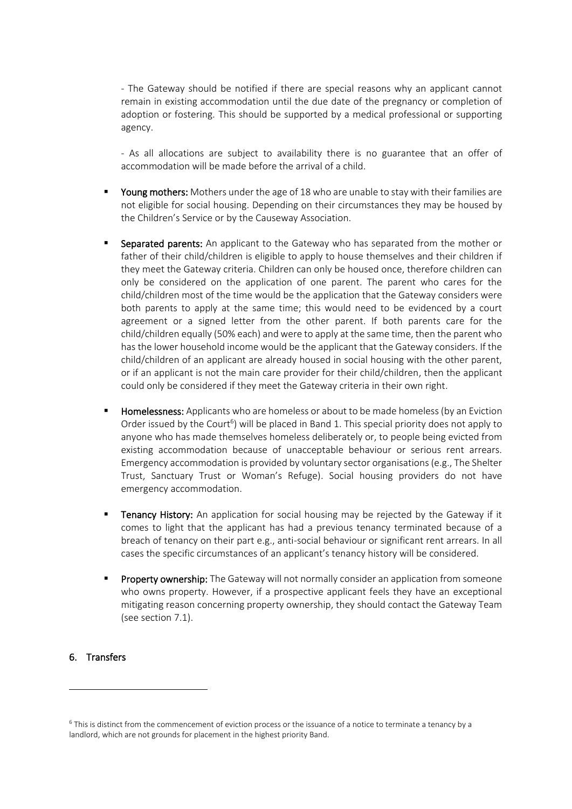- The Gateway should be notified if there are special reasons why an applicant cannot remain in existing accommodation until the due date of the pregnancy or completion of adoption or fostering. This should be supported by a medical professional or supporting agency.

- As all allocations are subject to availability there is no guarantee that an offer of accommodation will be made before the arrival of a child.

- Young mothers: Mothers under the age of 18 who are unable to stay with their families are not eligible for social housing. Depending on their circumstances they may be housed by the Children's Service or by the Causeway Association.
- Separated parents: An applicant to the Gateway who has separated from the mother or father of their child/children is eligible to apply to house themselves and their children if they meet the Gateway criteria. Children can only be housed once, therefore children can only be considered on the application of one parent. The parent who cares for the child/children most of the time would be the application that the Gateway considers were both parents to apply at the same time; this would need to be evidenced by a court agreement or a signed letter from the other parent. If both parents care for the child/children equally (50% each) and were to apply at the same time, then the parent who has the lower household income would be the applicant that the Gateway considers. If the child/children of an applicant are already housed in social housing with the other parent, or if an applicant is not the main care provider for their child/children, then the applicant could only be considered if they meet the Gateway criteria in their own right.
- Homelessness: Applicants who are homeless or about to be made homeless (by an Eviction Order issued by the Court<sup>6</sup>) will be placed in Band 1. This special priority does not apply to anyone who has made themselves homeless deliberately or, to people being evicted from existing accommodation because of unacceptable behaviour or serious rent arrears. Emergency accommodation is provided by voluntary sector organisations (e.g., The Shelter Trust, Sanctuary Trust or Woman's Refuge). Social housing providers do not have emergency accommodation.
- **EXECT FERANCY History:** An application for social housing may be rejected by the Gateway if it comes to light that the applicant has had a previous tenancy terminated because of a breach of tenancy on their part e.g., anti-social behaviour or significant rent arrears. In all cases the specific circumstances of an applicant's tenancy history will be considered.
- **Property ownership:** The Gateway will not normally consider an application from someone who owns property. However, if a prospective applicant feels they have an exceptional mitigating reason concerning property ownership, they should contact the Gateway Team (see section 7.1).

#### 6. Transfers

<sup>6</sup> This is distinct from the commencement of eviction process or the issuance of a notice to terminate a tenancy by a landlord, which are not grounds for placement in the highest priority Band.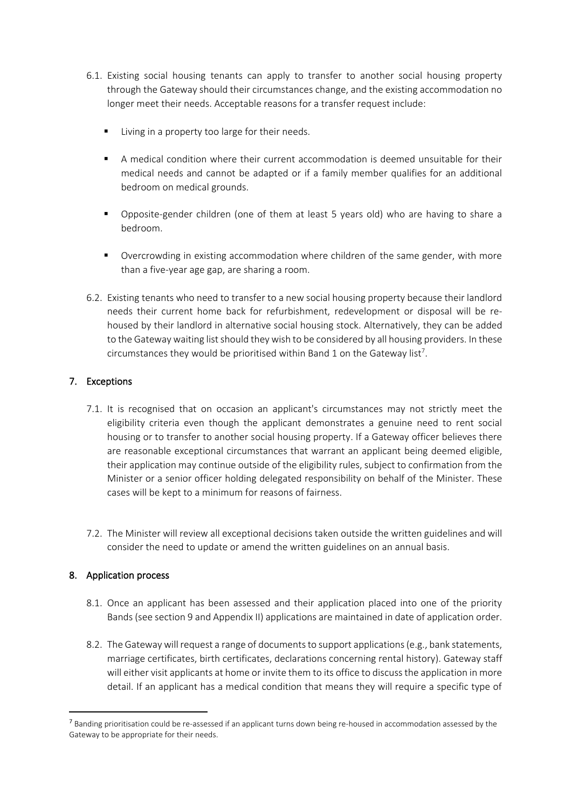- 6.1. Existing social housing tenants can apply to transfer to another social housing property through the Gateway should their circumstances change, and the existing accommodation no longer meet their needs. Acceptable reasons for a transfer request include:
	- Living in a property too large for their needs.
	- A medical condition where their current accommodation is deemed unsuitable for their medical needs and cannot be adapted or if a family member qualifies for an additional bedroom on medical grounds.
	- Opposite-gender children (one of them at least 5 years old) who are having to share a bedroom.
	- Overcrowding in existing accommodation where children of the same gender, with more than a five-year age gap, are sharing a room.
- 6.2. Existing tenants who need to transfer to a new social housing property because their landlord needs their current home back for refurbishment, redevelopment or disposal will be rehoused by their landlord in alternative social housing stock. Alternatively, they can be added to the Gateway waiting list should they wish to be considered by all housing providers. In these circumstances they would be prioritised within Band 1 on the Gateway list<sup>7</sup>.

### 7. Exceptions

- 7.1. It is recognised that on occasion an applicant's circumstances may not strictly meet the eligibility criteria even though the applicant demonstrates a genuine need to rent social housing or to transfer to another social housing property. If a Gateway officer believes there are reasonable exceptional circumstances that warrant an applicant being deemed eligible, their application may continue outside of the eligibility rules, subject to confirmation from the Minister or a senior officer holding delegated responsibility on behalf of the Minister. These cases will be kept to a minimum for reasons of fairness.
- 7.2. The Minister will review all exceptional decisions taken outside the written guidelines and will consider the need to update or amend the written guidelines on an annual basis.

#### 8. Application process

- 8.1. Once an applicant has been assessed and their application placed into one of the priority Bands (see section 9 and Appendix II) applications are maintained in date of application order.
- 8.2. The Gateway will request a range of documents to support applications (e.g., bank statements, marriage certificates, birth certificates, declarations concerning rental history). Gateway staff will either visit applicants at home or invite them to its office to discuss the application in more detail. If an applicant has a medical condition that means they will require a specific type of

<sup>&</sup>lt;sup>7</sup> Banding prioritisation could be re-assessed if an applicant turns down being re-housed in accommodation assessed by the Gateway to be appropriate for their needs.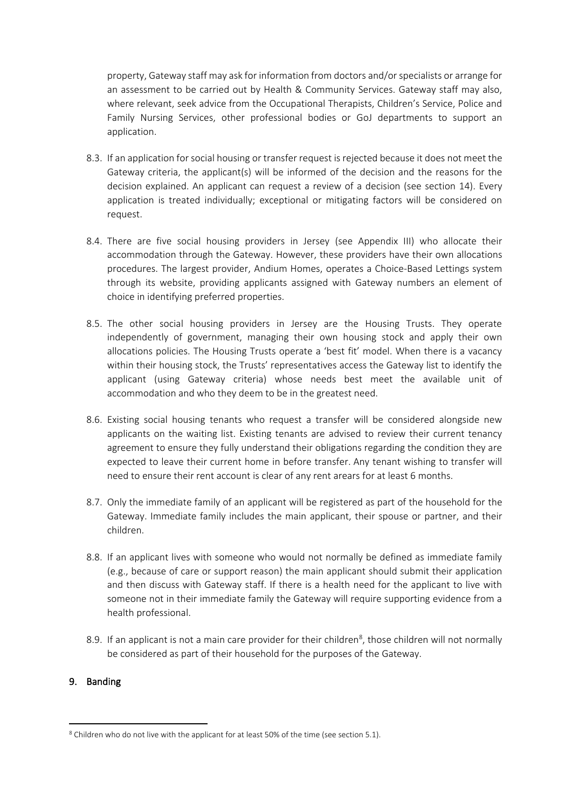property, Gateway staff may ask for information from doctors and/or specialists or arrange for an assessment to be carried out by Health & Community Services. Gateway staff may also, where relevant, seek advice from the Occupational Therapists, Children's Service, Police and Family Nursing Services, other professional bodies or GoJ departments to support an application.

- 8.3. If an application for social housing or transfer request is rejected because it does not meet the Gateway criteria, the applicant(s) will be informed of the decision and the reasons for the decision explained. An applicant can request a review of a decision (see section 14). Every application is treated individually; exceptional or mitigating factors will be considered on request.
- 8.4. There are five social housing providers in Jersey (see Appendix III) who allocate their accommodation through the Gateway. However, these providers have their own allocations procedures. The largest provider, Andium Homes, operates a Choice-Based Lettings system through its website, providing applicants assigned with Gateway numbers an element of choice in identifying preferred properties.
- 8.5. The other social housing providers in Jersey are the Housing Trusts. They operate independently of government, managing their own housing stock and apply their own allocations policies. The Housing Trusts operate a 'best fit' model. When there is a vacancy within their housing stock, the Trusts' representatives access the Gateway list to identify the applicant (using Gateway criteria) whose needs best meet the available unit of accommodation and who they deem to be in the greatest need.
- 8.6. Existing social housing tenants who request a transfer will be considered alongside new applicants on the waiting list. Existing tenants are advised to review their current tenancy agreement to ensure they fully understand their obligations regarding the condition they are expected to leave their current home in before transfer. Any tenant wishing to transfer will need to ensure their rent account is clear of any rent arears for at least 6 months.
- 8.7. Only the immediate family of an applicant will be registered as part of the household for the Gateway. Immediate family includes the main applicant, their spouse or partner, and their children.
- 8.8. If an applicant lives with someone who would not normally be defined as immediate family (e.g., because of care or support reason) the main applicant should submit their application and then discuss with Gateway staff. If there is a health need for the applicant to live with someone not in their immediate family the Gateway will require supporting evidence from a health professional.
- 8.9. If an applicant is not a main care provider for their children<sup>8</sup>, those children will not normally be considered as part of their household for the purposes of the Gateway.

#### 9. Banding

<sup>&</sup>lt;sup>8</sup> Children who do not live with the applicant for at least 50% of the time (see section 5.1).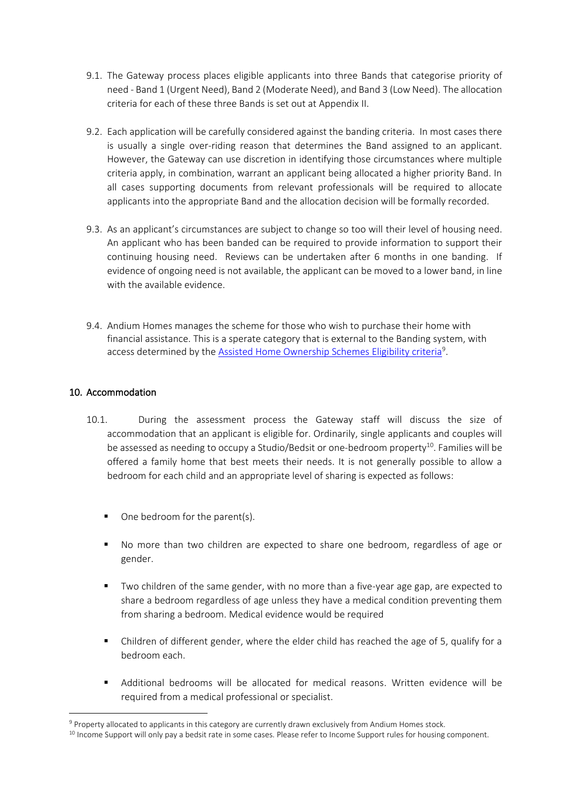- 9.1. The Gateway process places eligible applicants into three Bands that categorise priority of need - Band 1 (Urgent Need), Band 2 (Moderate Need), and Band 3 (Low Need). The allocation criteria for each of these three Bands is set out at Appendix II.
- 9.2. Each application will be carefully considered against the banding criteria. In most cases there is usually a single over-riding reason that determines the Band assigned to an applicant. However, the Gateway can use discretion in identifying those circumstances where multiple criteria apply, in combination, warrant an applicant being allocated a higher priority Band. In all cases supporting documents from relevant professionals will be required to allocate applicants into the appropriate Band and the allocation decision will be formally recorded.
- 9.3. As an applicant's circumstances are subject to change so too will their level of housing need. An applicant who has been banded can be required to provide information to support their continuing housing need. Reviews can be undertaken after 6 months in one banding. If evidence of ongoing need is not available, the applicant can be moved to a lower band, in line with the available evidence.
- 9.4. Andium Homes manages the scheme for those who wish to purchase their home with financial assistance. This is a sperate category that is external to the Banding system, with access determined by the [Assisted Home Ownership Schemes Eligibility criteria](https://www.gov.je/SiteCollectionDocuments/Home%20and%20community/ID%20Assisted%20Home%20Ownership%20Schemes%20Eligibility%20Criteria%20policy.pdf)<sup>9</sup>.

#### 10. Accommodation

- 10.1. During the assessment process the Gateway staff will discuss the size of accommodation that an applicant is eligible for. Ordinarily, single applicants and couples will be assessed as needing to occupy a Studio/Bedsit or one-bedroom property<sup>10</sup>. Families will be offered a family home that best meets their needs. It is not generally possible to allow a bedroom for each child and an appropriate level of sharing is expected as follows:
	- One bedroom for the parent(s).
	- No more than two children are expected to share one bedroom, regardless of age or gender.
	- Two children of the same gender, with no more than a five-year age gap, are expected to share a bedroom regardless of age unless they have a medical condition preventing them from sharing a bedroom. Medical evidence would be required
	- Children of different gender, where the elder child has reached the age of 5, qualify for a bedroom each.
	- Additional bedrooms will be allocated for medical reasons. Written evidence will be required from a medical professional or specialist.

<sup>9</sup> Property allocated to applicants in this category are currently drawn exclusively from Andium Homes stock.

<sup>&</sup>lt;sup>10</sup> Income Support will only pay a bedsit rate in some cases. Please refer to Income Support rules for housing component.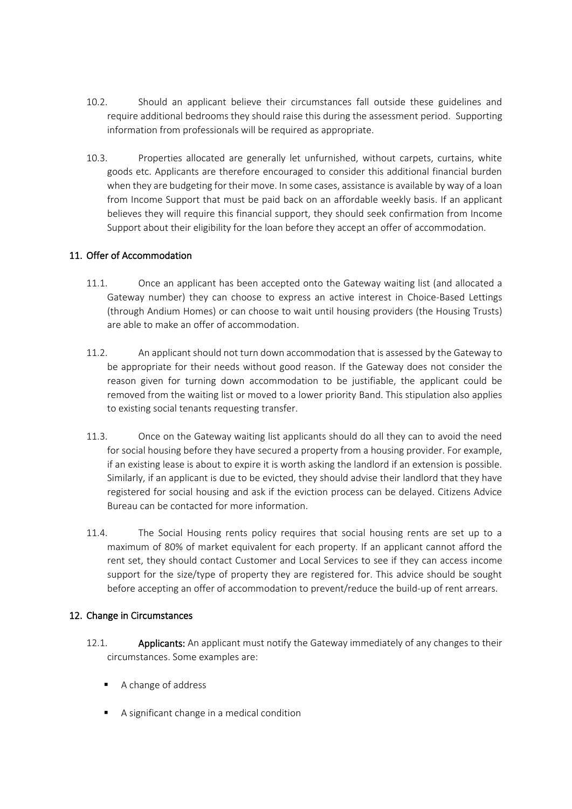- 10.2. Should an applicant believe their circumstances fall outside these guidelines and require additional bedrooms they should raise this during the assessment period. Supporting information from professionals will be required as appropriate.
- 10.3. Properties allocated are generally let unfurnished, without carpets, curtains, white goods etc. Applicants are therefore encouraged to consider this additional financial burden when they are budgeting for their move. In some cases, assistance is available by way of a loan from Income Support that must be paid back on an affordable weekly basis. If an applicant believes they will require this financial support, they should seek confirmation from Income Support about their eligibility for the loan before they accept an offer of accommodation.

#### 11. Offer of Accommodation

- 11.1. Once an applicant has been accepted onto the Gateway waiting list (and allocated a Gateway number) they can choose to express an active interest in Choice-Based Lettings (through Andium Homes) or can choose to wait until housing providers (the Housing Trusts) are able to make an offer of accommodation.
- 11.2. An applicant should not turn down accommodation that is assessed by the Gateway to be appropriate for their needs without good reason. If the Gateway does not consider the reason given for turning down accommodation to be justifiable, the applicant could be removed from the waiting list or moved to a lower priority Band. This stipulation also applies to existing social tenants requesting transfer.
- 11.3. Once on the Gateway waiting list applicants should do all they can to avoid the need for social housing before they have secured a property from a housing provider. For example, if an existing lease is about to expire it is worth asking the landlord if an extension is possible. Similarly, if an applicant is due to be evicted, they should advise their landlord that they have registered for social housing and ask if the eviction process can be delayed. Citizens Advice Bureau can be contacted for more information.
- 11.4. The Social Housing rents policy requires that social housing rents are set up to a maximum of 80% of market equivalent for each property. If an applicant cannot afford the rent set, they should contact Customer and Local Services to see if they can access income support for the size/type of property they are registered for. This advice should be sought before accepting an offer of accommodation to prevent/reduce the build-up of rent arrears.

#### 12. Change in Circumstances

- 12.1. **Applicants:** An applicant must notify the Gateway immediately of any changes to their circumstances. Some examples are:
	- A change of address
	- A significant change in a medical condition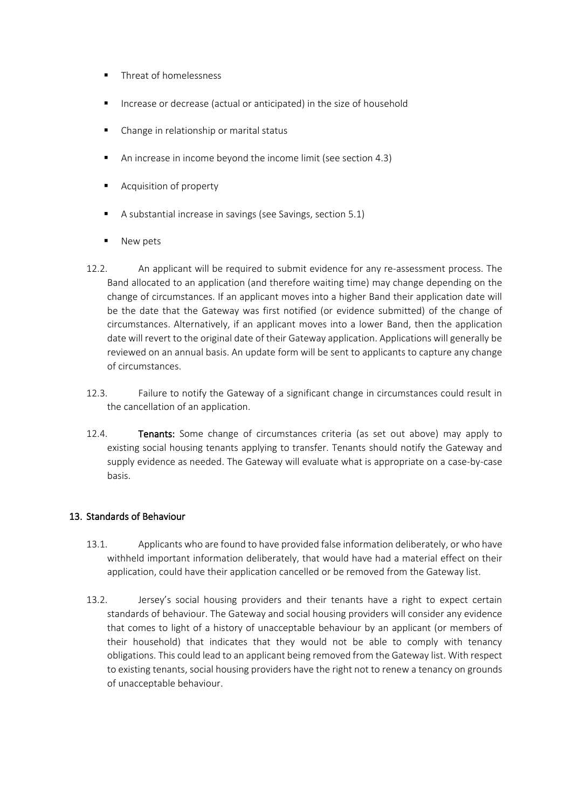- Threat of homelessness
- Increase or decrease (actual or anticipated) in the size of household
- Change in relationship or marital status
- An increase in income beyond the income limit (see section 4.3)
- Acquisition of property
- A substantial increase in savings (see Savings, section 5.1)
- New pets
- 12.2. An applicant will be required to submit evidence for any re-assessment process. The Band allocated to an application (and therefore waiting time) may change depending on the change of circumstances. If an applicant moves into a higher Band their application date will be the date that the Gateway was first notified (or evidence submitted) of the change of circumstances. Alternatively, if an applicant moves into a lower Band, then the application date will revert to the original date of their Gateway application. Applications will generally be reviewed on an annual basis. An update form will be sent to applicants to capture any change of circumstances.
- 12.3. Failure to notify the Gateway of a significant change in circumstances could result in the cancellation of an application.
- 12.4. Tenants: Some change of circumstances criteria (as set out above) may apply to existing social housing tenants applying to transfer. Tenants should notify the Gateway and supply evidence as needed. The Gateway will evaluate what is appropriate on a case-by-case basis.

#### 13. Standards of Behaviour

- 13.1. Applicants who are found to have provided false information deliberately, or who have withheld important information deliberately, that would have had a material effect on their application, could have their application cancelled or be removed from the Gateway list.
- 13.2. Jersey's social housing providers and their tenants have a right to expect certain standards of behaviour. The Gateway and social housing providers will consider any evidence that comes to light of a history of unacceptable behaviour by an applicant (or members of their household) that indicates that they would not be able to comply with tenancy obligations. This could lead to an applicant being removed from the Gateway list. With respect to existing tenants, social housing providers have the right not to renew a tenancy on grounds of unacceptable behaviour.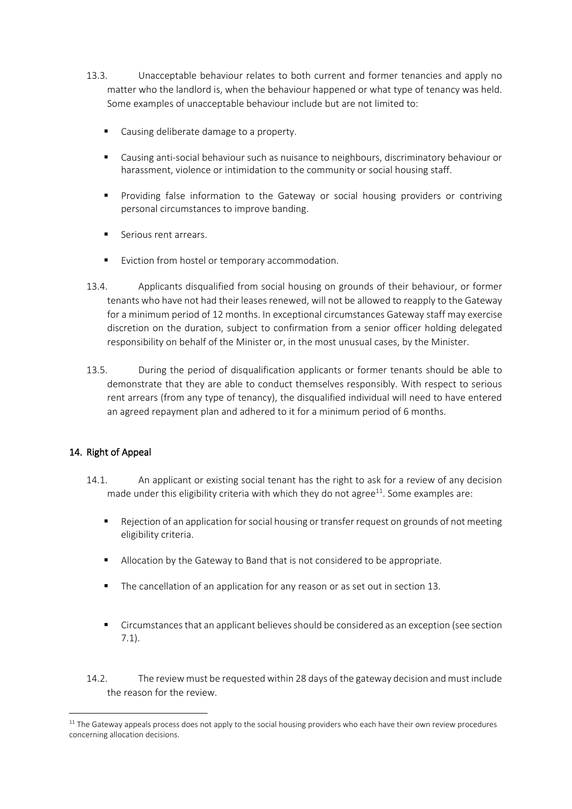- 13.3. Unacceptable behaviour relates to both current and former tenancies and apply no matter who the landlord is, when the behaviour happened or what type of tenancy was held. Some examples of unacceptable behaviour include but are not limited to:
	- Causing deliberate damage to a property.
	- Causing anti-social behaviour such as nuisance to neighbours, discriminatory behaviour or harassment, violence or intimidation to the community or social housing staff.
	- Providing false information to the Gateway or social housing providers or contriving personal circumstances to improve banding.
	- Serious rent arrears.
	- Eviction from hostel or temporary accommodation.
- 13.4. Applicants disqualified from social housing on grounds of their behaviour, or former tenants who have not had their leases renewed, will not be allowed to reapply to the Gateway for a minimum period of 12 months. In exceptional circumstances Gateway staff may exercise discretion on the duration, subject to confirmation from a senior officer holding delegated responsibility on behalf of the Minister or, in the most unusual cases, by the Minister.
- 13.5. During the period of disqualification applicants or former tenants should be able to demonstrate that they are able to conduct themselves responsibly. With respect to serious rent arrears (from any type of tenancy), the disqualified individual will need to have entered an agreed repayment plan and adhered to it for a minimum period of 6 months.

## 14. Right of Appeal

- 14.1. An applicant or existing social tenant has the right to ask for a review of any decision made under this eligibility criteria with which they do not agree $11$ . Some examples are:
	- Rejection of an application for social housing or transfer request on grounds of not meeting eligibility criteria.
	- Allocation by the Gateway to Band that is not considered to be appropriate.
	- The cancellation of an application for any reason or as set out in section 13.
	- **EXECT** Circumstances that an applicant believes should be considered as an exception (see section 7.1).
- 14.2. The review must be requested within 28 days of the gateway decision and must include the reason for the review.

<sup>&</sup>lt;sup>11</sup> The Gateway appeals process does not apply to the social housing providers who each have their own review procedures concerning allocation decisions.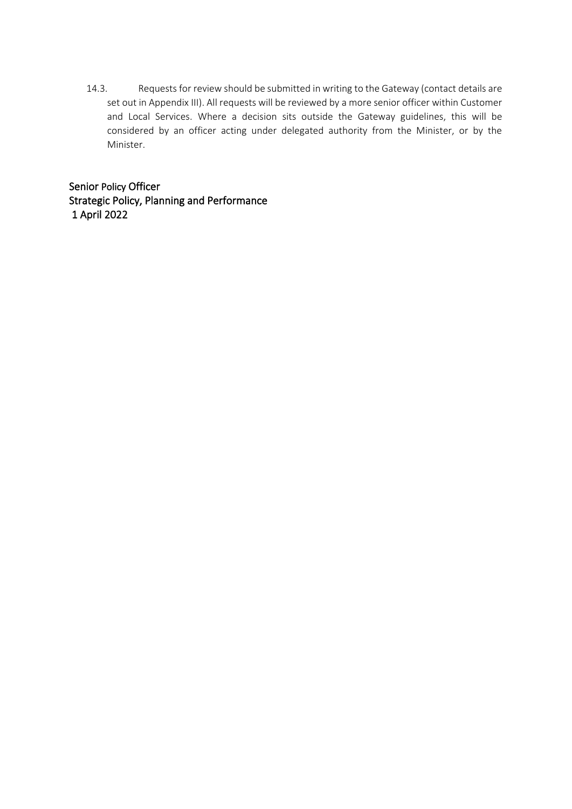14.3. Requests for review should be submitted in writing to the Gateway (contact details are set out in Appendix III). All requests will be reviewed by a more senior officer within Customer and Local Services. Where a decision sits outside the Gateway guidelines, this will be considered by an officer acting under delegated authority from the Minister, or by the Minister.

Senior Policy Officer Strategic Policy, Planning and Performance 1 April 2022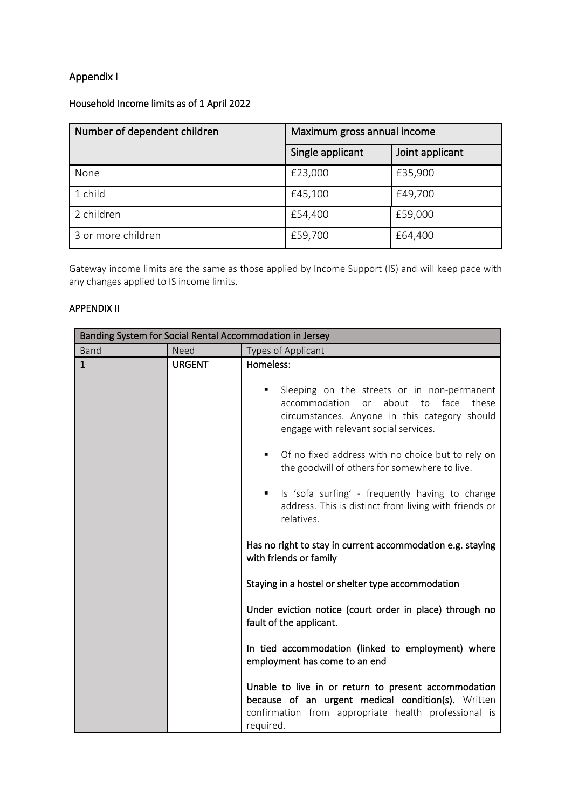# Appendix I

## Household Income limits as of 1 April 2022

| Number of dependent children | Maximum gross annual income |                 |
|------------------------------|-----------------------------|-----------------|
|                              | Single applicant            | Joint applicant |
| None                         | £23,000                     | £35,900         |
| 1 child                      | £45,100                     | £49,700         |
| 2 children                   | £54,400                     | £59,000         |
| 3 or more children           | £59,700                     | £64,400         |

Gateway income limits are the same as those applied by Income Support (IS) and will keep pace with any changes applied to IS income limits.

## APPENDIX II

| Banding System for Social Rental Accommodation in Jersey |               |                                                                                                                                                                                                                                                                                                                                                                                                                                                                                                           |  |  |
|----------------------------------------------------------|---------------|-----------------------------------------------------------------------------------------------------------------------------------------------------------------------------------------------------------------------------------------------------------------------------------------------------------------------------------------------------------------------------------------------------------------------------------------------------------------------------------------------------------|--|--|
| Band                                                     | <b>Need</b>   | Types of Applicant                                                                                                                                                                                                                                                                                                                                                                                                                                                                                        |  |  |
| $\mathbf{1}$                                             | <b>URGENT</b> | Homeless:<br>Sleeping on the streets or in non-permanent<br>about<br>to face<br>accommodation<br>or<br>these<br>circumstances. Anyone in this category should<br>engage with relevant social services.<br>Of no fixed address with no choice but to rely on<br>٠<br>the goodwill of others for somewhere to live.<br>Is 'sofa surfing' - frequently having to change<br>٠<br>address. This is distinct from living with friends or<br>relatives.                                                          |  |  |
|                                                          |               | Has no right to stay in current accommodation e.g. staying<br>with friends or family<br>Staying in a hostel or shelter type accommodation<br>Under eviction notice (court order in place) through no<br>fault of the applicant.<br>In tied accommodation (linked to employment) where<br>employment has come to an end<br>Unable to live in or return to present accommodation<br>because of an urgent medical condition(s). Written<br>confirmation from appropriate health professional is<br>required. |  |  |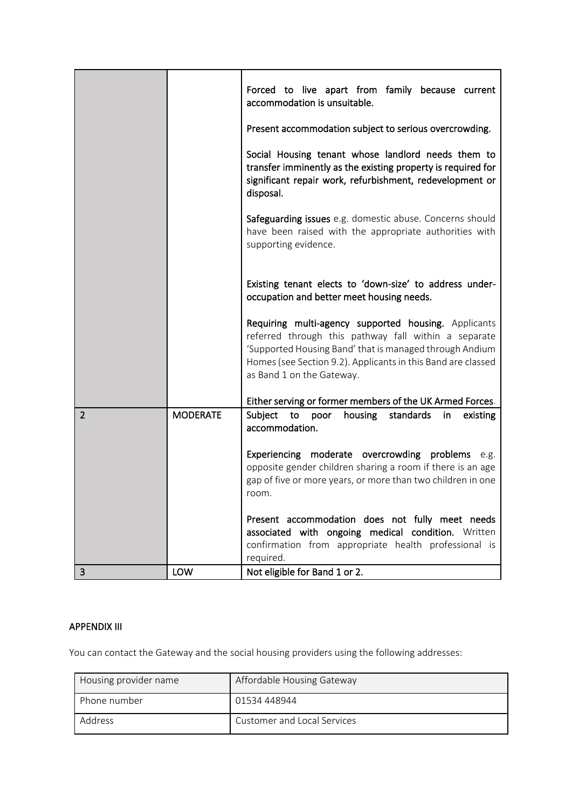|                |                 | Forced to live apart from family because current<br>accommodation is unsuitable.                                                                                                                                                                                     |
|----------------|-----------------|----------------------------------------------------------------------------------------------------------------------------------------------------------------------------------------------------------------------------------------------------------------------|
|                |                 | Present accommodation subject to serious overcrowding.                                                                                                                                                                                                               |
|                |                 | Social Housing tenant whose landlord needs them to<br>transfer imminently as the existing property is required for<br>significant repair work, refurbishment, redevelopment or<br>disposal.                                                                          |
|                |                 | Safeguarding issues e.g. domestic abuse. Concerns should<br>have been raised with the appropriate authorities with<br>supporting evidence.                                                                                                                           |
|                |                 | Existing tenant elects to 'down-size' to address under-<br>occupation and better meet housing needs.                                                                                                                                                                 |
|                |                 | Requiring multi-agency supported housing. Applicants<br>referred through this pathway fall within a separate<br>'Supported Housing Band' that is managed through Andium<br>Homes (see Section 9.2). Applicants in this Band are classed<br>as Band 1 on the Gateway. |
|                |                 | Either serving or former members of the UK Armed Forces.                                                                                                                                                                                                             |
| $\overline{2}$ | <b>MODERATE</b> | Subject<br>to<br>housing<br>standards<br>poor<br>existing<br>in.<br>accommodation.                                                                                                                                                                                   |
|                |                 | Experiencing moderate overcrowding problems e.g.<br>opposite gender children sharing a room if there is an age<br>gap of five or more years, or more than two children in one<br>room.                                                                               |
|                |                 | Present accommodation does not fully meet needs<br>associated with ongoing medical condition. Written<br>confirmation from appropriate health professional is<br>required.                                                                                           |
| 3              | <b>LOW</b>      | Not eligible for Band 1 or 2.                                                                                                                                                                                                                                        |

## APPENDIX III

You can contact the Gateway and the social housing providers using the following addresses:

| Housing provider name | Affordable Housing Gateway  |
|-----------------------|-----------------------------|
| Phone number          | 01534 448944                |
| Address               | Customer and Local Services |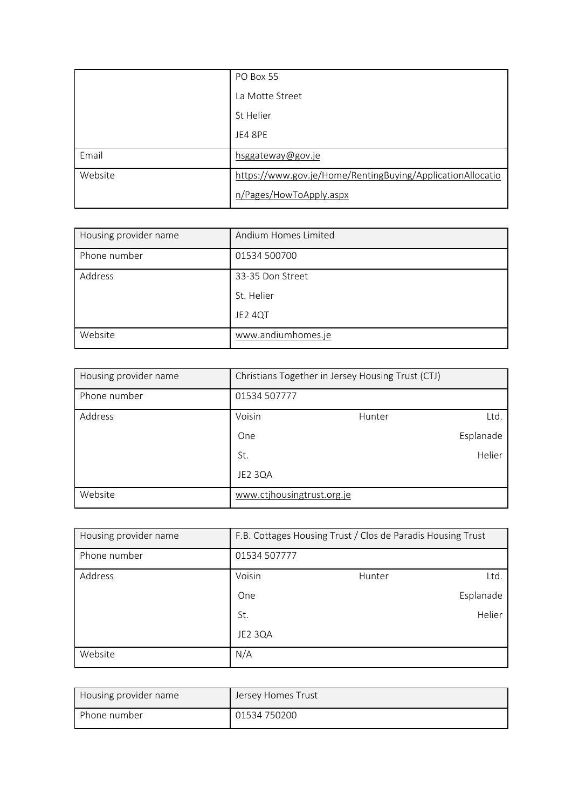|         | PO Box 55                                                  |
|---------|------------------------------------------------------------|
|         | La Motte Street                                            |
|         | St Helier                                                  |
|         | JE4 8PE                                                    |
| Email   | hsggateway@gov.je                                          |
| Website | https://www.gov.je/Home/RentingBuying/ApplicationAllocatio |
|         | n/Pages/HowToApply.aspx                                    |

| Housing provider name | Andium Homes Limited |
|-----------------------|----------------------|
| Phone number          | 01534 500700         |
| Address               | 33-35 Don Street     |
|                       | St. Helier           |
|                       | JE2 4QT              |
| Website               | www.andiumhomes.je   |

| Housing provider name | Christians Together in Jersey Housing Trust (CTJ) |        |           |
|-----------------------|---------------------------------------------------|--------|-----------|
| Phone number          | 01534 507777                                      |        |           |
| Address               | Voisin                                            | Hunter | Ltd.      |
|                       | One                                               |        | Esplanade |
|                       | St.                                               |        | Helier    |
|                       | JE2 3QA                                           |        |           |
| Website               | www.ctjhousingtrust.org.je                        |        |           |

| Housing provider name | F.B. Cottages Housing Trust / Clos de Paradis Housing Trust |        |           |
|-----------------------|-------------------------------------------------------------|--------|-----------|
| Phone number          | 01534 507777                                                |        |           |
| Address               | Voisin                                                      | Hunter | Ltd.      |
|                       | One                                                         |        | Esplanade |
|                       | St.                                                         |        | Helier    |
|                       | JE2 3QA                                                     |        |           |
| Website               | N/A                                                         |        |           |

| Housing provider name | Jersey Homes Trust |
|-----------------------|--------------------|
| Phone number          | 01534 750200       |